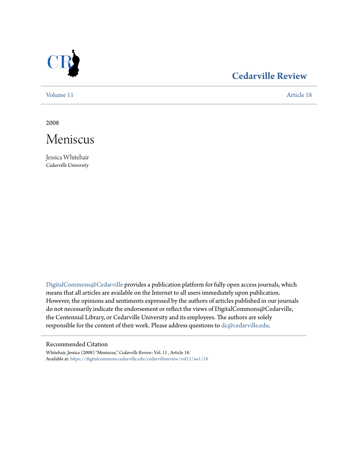

## **[Cedarville Review](https://digitalcommons.cedarville.edu/cedarvillereview?utm_source=digitalcommons.cedarville.edu%2Fcedarvillereview%2Fvol11%2Fiss1%2F18&utm_medium=PDF&utm_campaign=PDFCoverPages)**

[Volume 11](https://digitalcommons.cedarville.edu/cedarvillereview/vol11?utm_source=digitalcommons.cedarville.edu%2Fcedarvillereview%2Fvol11%2Fiss1%2F18&utm_medium=PDF&utm_campaign=PDFCoverPages) [Article 18](https://digitalcommons.cedarville.edu/cedarvillereview/vol11/iss1/18?utm_source=digitalcommons.cedarville.edu%2Fcedarvillereview%2Fvol11%2Fiss1%2F18&utm_medium=PDF&utm_campaign=PDFCoverPages)

2008



Jessica Whitehair *Cedarville University*

[DigitalCommons@Cedarville](http://digitalcommons.cedarville.edu) provides a publication platform for fully open access journals, which means that all articles are available on the Internet to all users immediately upon publication. However, the opinions and sentiments expressed by the authors of articles published in our journals do not necessarily indicate the endorsement or reflect the views of DigitalCommons@Cedarville, the Centennial Library, or Cedarville University and its employees. The authors are solely responsible for the content of their work. Please address questions to [dc@cedarville.edu](mailto:dc@cedarville.edu).

#### Recommended Citation

Whitehair, Jessica (2008) "Meniscus," *Cedarville Review*: Vol. 11 , Article 18. Available at: [https://digitalcommons.cedarville.edu/cedarvillereview/vol11/iss1/18](https://digitalcommons.cedarville.edu/cedarvillereview/vol11/iss1/18?utm_source=digitalcommons.cedarville.edu%2Fcedarvillereview%2Fvol11%2Fiss1%2F18&utm_medium=PDF&utm_campaign=PDFCoverPages)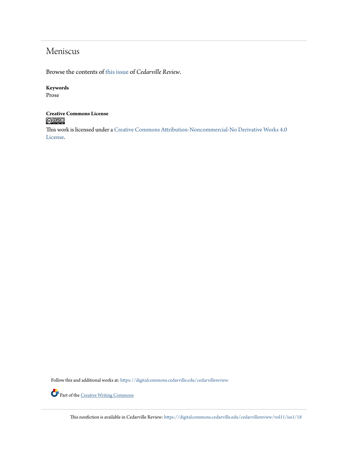## Meniscus

Browse the contents of [this issue](https://digitalcommons.cedarville.edu/cedarvillereview/vol11/iss1) of *Cedarville Review*.

#### **Keywords**

Prose

# **Creative Commons License**

This work is licensed under a [Creative Commons Attribution-Noncommercial-No Derivative Works 4.0](http://creativecommons.org/licenses/by-nc-nd/4.0/) [License.](http://creativecommons.org/licenses/by-nc-nd/4.0/)

Follow this and additional works at: [https://digitalcommons.cedarville.edu/cedarvillereview](https://digitalcommons.cedarville.edu/cedarvillereview?utm_source=digitalcommons.cedarville.edu%2Fcedarvillereview%2Fvol11%2Fiss1%2F18&utm_medium=PDF&utm_campaign=PDFCoverPages)



Part of the <u>[Creative Writing Commons](http://network.bepress.com/hgg/discipline/574?utm_source=digitalcommons.cedarville.edu%2Fcedarvillereview%2Fvol11%2Fiss1%2F18&utm_medium=PDF&utm_campaign=PDFCoverPages)</u>